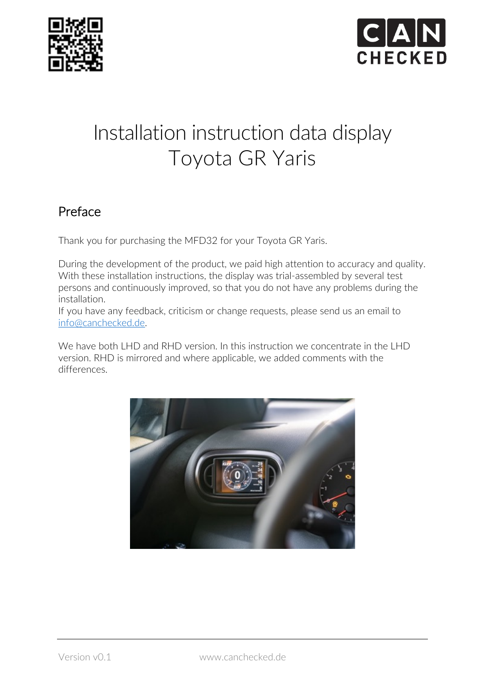



# Installation instruction data display Toyota GR Yaris

# Preface

Thank you for purchasing the MFD32 for your Toyota GR Yaris.

During the development of the product, we paid high attention to accuracy and quality. With these installation instructions, the display was trial-assembled by several test persons and continuously improved, so that you do not have any problems during the installation.

If you have any feedback, criticism or change requests, please send us an email to info@canchecked.de.

We have both LHD and RHD version. In this instruction we concentrate in the LHD version. RHD is mirrored and where applicable, we added comments with the differences.

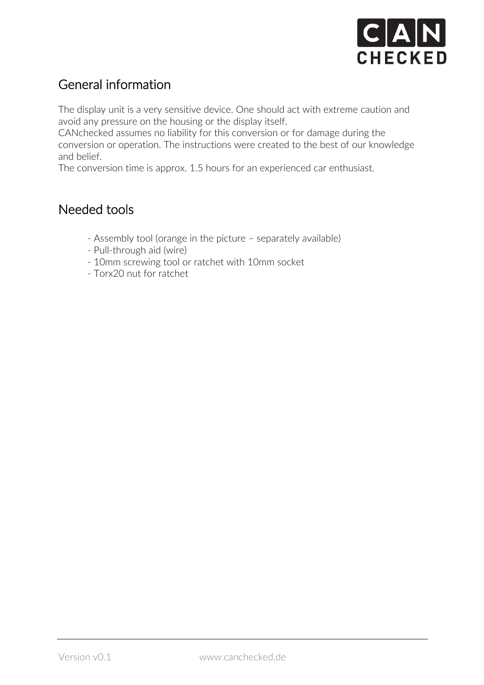

# General information

The display unit is a very sensitive device. One should act with extreme caution and avoid any pressure on the housing or the display itself.

CANchecked assumes no liability for this conversion or for damage during the conversion or operation. The instructions were created to the best of our knowledge and belief.

The conversion time is approx. 1.5 hours for an experienced car enthusiast.

#### Needed tools

- Assembly tool (orange in the picture separately available)
- Pull-through aid (wire)
- 10mm screwing tool or ratchet with 10mm socket
- Torx20 nut for ratchet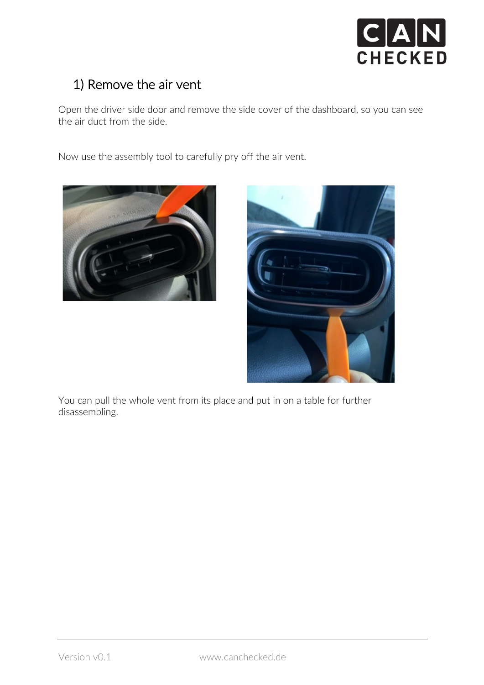

# 1) Remove the air vent

Open the driver side door and remove the side cover of the dashboard, so you can see the air duct from the side.

Now use the assembly tool to carefully pry off the air vent.





You can pull the whole vent from its place and put in on a table for further disassembling.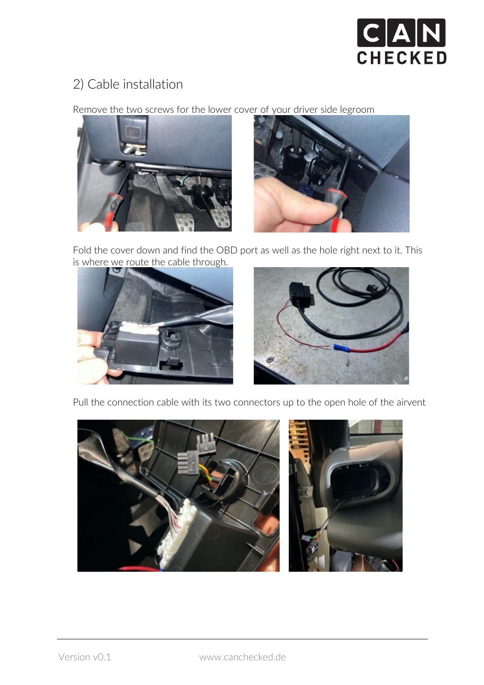

#### 2) Cable installation

Remove the two screws for the lower cover of your driver side legroom





Fold the cover down and find the OBD port as well as the hole right next to it. This is where we route the cable through.



Pull the connection cable with its two connectors up to the open hole of the airvent

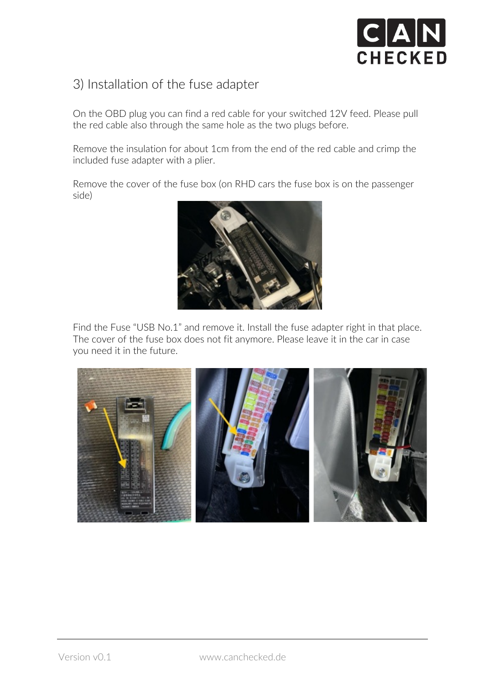

#### 3) Installation of the fuse adapter

On the OBD plug you can find a red cable for your switched 12V feed. Please pull the red cable also through the same hole as the two plugs before.

Remove the insulation for about 1cm from the end of the red cable and crimp the included fuse adapter with a plier.

Remove the cover of the fuse box (on RHD cars the fuse box is on the passenger side)



Find the Fuse "USB No.1" and remove it. Install the fuse adapter right in that place. The cover of the fuse box does not fit anymore. Please leave it in the car in case you need it in the future.

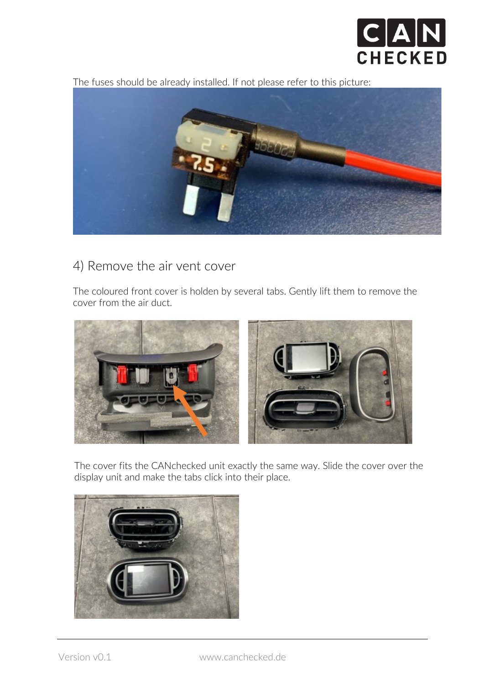

The fuses should be already installed. If not please refer to this picture:



# 4) Remove the air vent cover

The coloured front cover is holden by several tabs. Gently lift them to remove the cover from the air duct.



The cover fits the CANchecked unit exactly the same way. Slide the cover over the display unit and make the tabs click into their place.

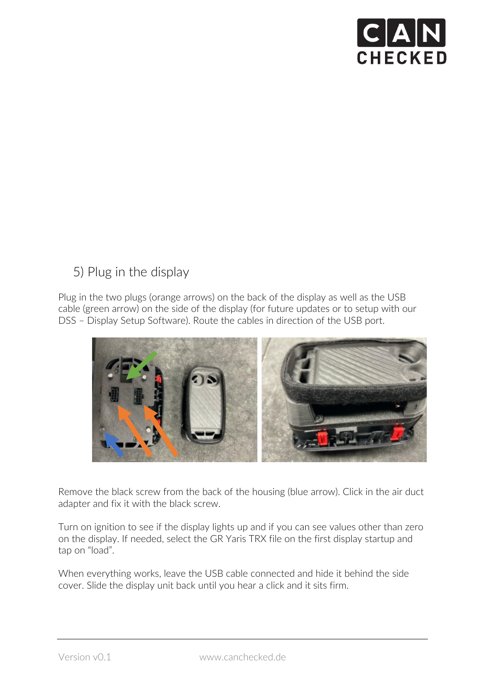

# 5) Plug in the display

Plug in the two plugs (orange arrows) on the back of the display as well as the USB cable (green arrow) on the side of the display (for future updates or to setup with our DSS – Display Setup Software). Route the cables in direction of the USB port.



Remove the black screw from the back of the housing (blue arrow). Click in the air duct adapter and fix it with the black screw.

Turn on ignition to see if the display lights up and if you can see values other than zero on the display. If needed, select the GR Yaris TRX file on the first display startup and tap on "load".

When everything works, leave the USB cable connected and hide it behind the side cover. Slide the display unit back until you hear a click and it sits firm.